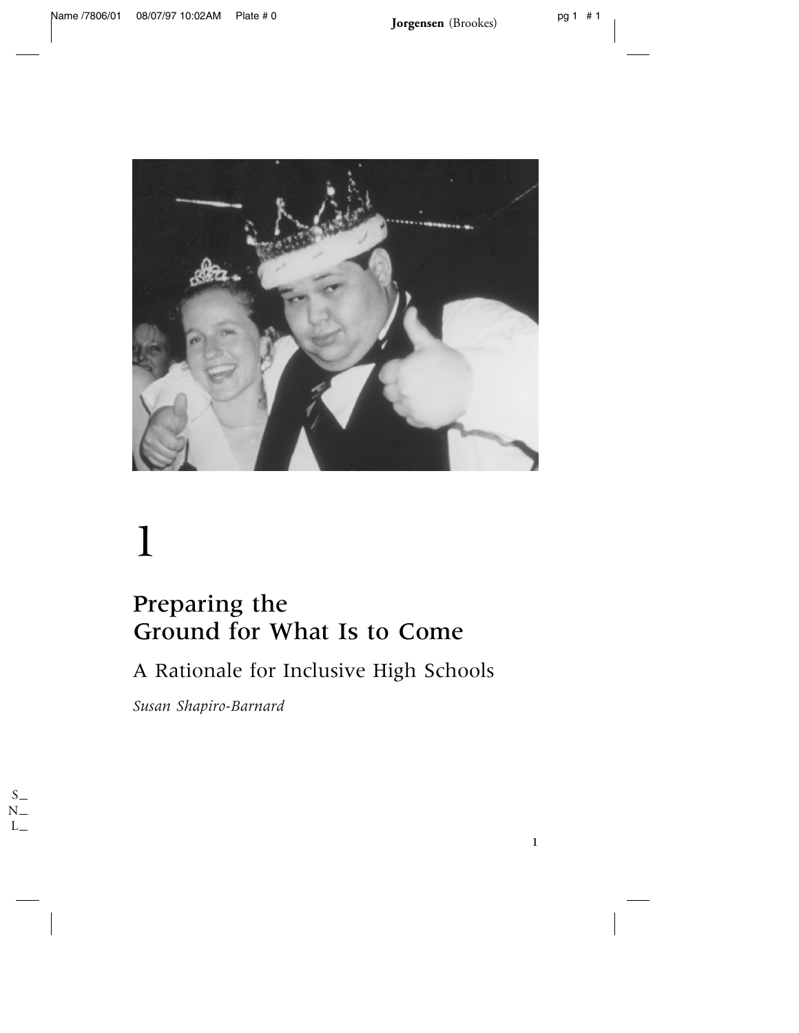1



# 1

 $S_{-}$  $N_{-}$  $L_{-}$ 

# Preparing the Ground for What Is to Come

A Rationale for Inclusive High Schools

*Susan Shapiro-Barnard*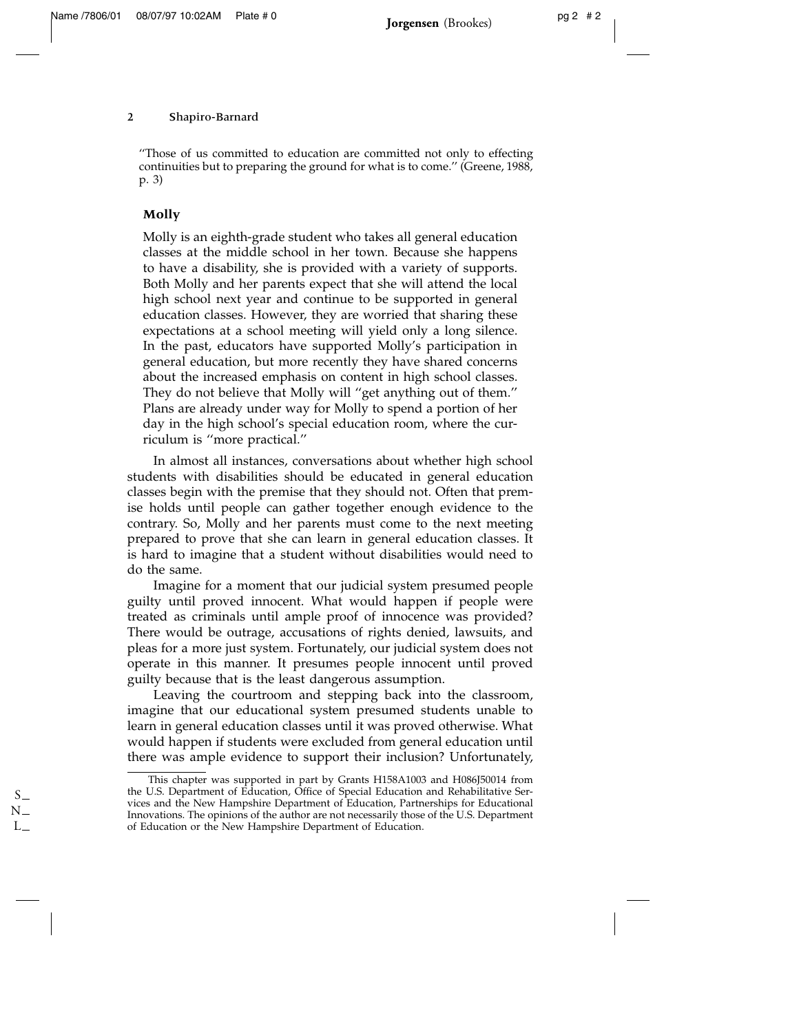#### 2 Shapiro-Barnard

''Those of us committed to education are committed not only to effecting continuities but to preparing the ground for what is to come.'' (Greene, 1988, p. 3)

# **Molly**

Molly is an eighth-grade student who takes all general education classes at the middle school in her town. Because she happens to have a disability, she is provided with a variety of supports. Both Molly and her parents expect that she will attend the local high school next year and continue to be supported in general education classes. However, they are worried that sharing these expectations at a school meeting will yield only a long silence. In the past, educators have supported Molly's participation in general education, but more recently they have shared concerns about the increased emphasis on content in high school classes. They do not believe that Molly will ''get anything out of them.'' Plans are already under way for Molly to spend a portion of her day in the high school's special education room, where the curriculum is ''more practical.''

In almost all instances, conversations about whether high school students with disabilities should be educated in general education classes begin with the premise that they should not. Often that premise holds until people can gather together enough evidence to the contrary. So, Molly and her parents must come to the next meeting prepared to prove that she can learn in general education classes. It is hard to imagine that a student without disabilities would need to do the same.

Imagine for a moment that our judicial system presumed people guilty until proved innocent. What would happen if people were treated as criminals until ample proof of innocence was provided? There would be outrage, accusations of rights denied, lawsuits, and pleas for a more just system. Fortunately, our judicial system does not operate in this manner. It presumes people innocent until proved guilty because that is the least dangerous assumption.

Leaving the courtroom and stepping back into the classroom, imagine that our educational system presumed students unable to learn in general education classes until it was proved otherwise. What would happen if students were excluded from general education until there was ample evidence to support their inclusion? Unfortunately,

This chapter was supported in part by Grants H158A1003 and H086J50014 from the U.S. Department of Education, Office of Special Education and Rehabilitative Services and the New Hampshire Department of Education, Partnerships for Educational Innovations. The opinions of the author are not necessarily those of the U.S. Department of Education or the New Hampshire Department of Education.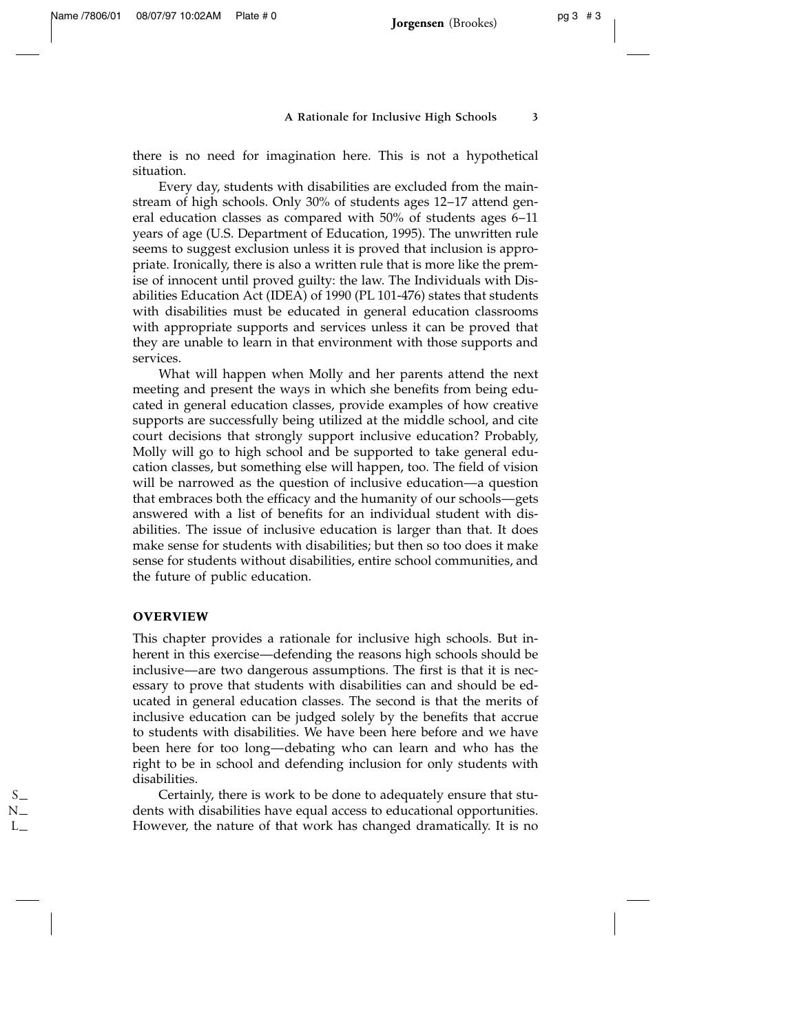**Jorgensen** (Brookes)

there is no need for imagination here. This is not a hypothetical situation.

Every day, students with disabilities are excluded from the mainstream of high schools. Only 30% of students ages 12–17 attend general education classes as compared with 50% of students ages 6–11 years of age (U.S. Department of Education, 1995). The unwritten rule seems to suggest exclusion unless it is proved that inclusion is appropriate. Ironically, there is also a written rule that is more like the premise of innocent until proved guilty: the law. The Individuals with Disabilities Education Act (IDEA) of 1990 (PL 101-476) states that students with disabilities must be educated in general education classrooms with appropriate supports and services unless it can be proved that they are unable to learn in that environment with those supports and services.

What will happen when Molly and her parents attend the next meeting and present the ways in which she benefits from being educated in general education classes, provide examples of how creative supports are successfully being utilized at the middle school, and cite court decisions that strongly support inclusive education? Probably, Molly will go to high school and be supported to take general education classes, but something else will happen, too. The field of vision will be narrowed as the question of inclusive education—a question that embraces both the efficacy and the humanity of our schools—gets answered with a list of benefits for an individual student with disabilities. The issue of inclusive education is larger than that. It does make sense for students with disabilities; but then so too does it make sense for students without disabilities, entire school communities, and the future of public education.

# **OVERVIEW**

S N L.

This chapter provides a rationale for inclusive high schools. But inherent in this exercise—defending the reasons high schools should be inclusive—are two dangerous assumptions. The first is that it is necessary to prove that students with disabilities can and should be educated in general education classes. The second is that the merits of inclusive education can be judged solely by the benefits that accrue to students with disabilities. We have been here before and we have been here for too long—debating who can learn and who has the right to be in school and defending inclusion for only students with disabilities.

Certainly, there is work to be done to adequately ensure that students with disabilities have equal access to educational opportunities. However, the nature of that work has changed dramatically. It is no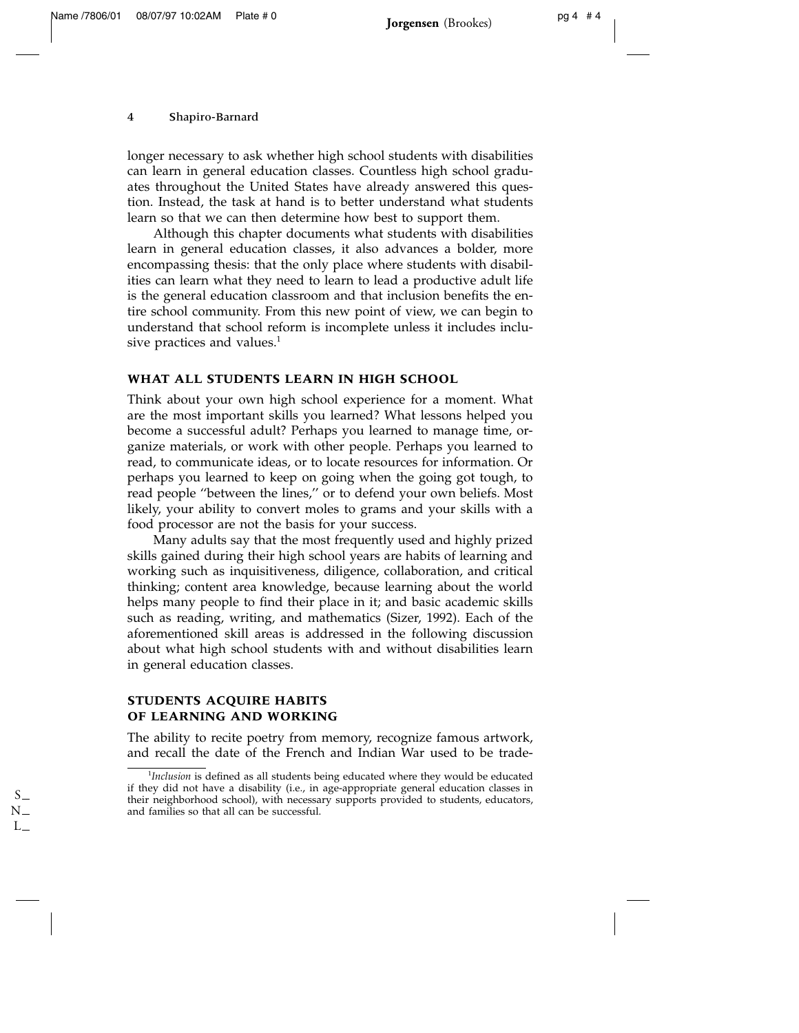4 Shapiro-Barnard

longer necessary to ask whether high school students with disabilities can learn in general education classes. Countless high school graduates throughout the United States have already answered this question. Instead, the task at hand is to better understand what students learn so that we can then determine how best to support them.

Although this chapter documents what students with disabilities learn in general education classes, it also advances a bolder, more encompassing thesis: that the only place where students with disabilities can learn what they need to learn to lead a productive adult life is the general education classroom and that inclusion benefits the entire school community. From this new point of view, we can begin to understand that school reform is incomplete unless it includes inclusive practices and values. $<sup>1</sup>$ </sup>

# **WHAT ALL STUDENTS LEARN IN HIGH SCHOOL**

Think about your own high school experience for a moment. What are the most important skills you learned? What lessons helped you become a successful adult? Perhaps you learned to manage time, organize materials, or work with other people. Perhaps you learned to read, to communicate ideas, or to locate resources for information. Or perhaps you learned to keep on going when the going got tough, to read people ''between the lines,'' or to defend your own beliefs. Most likely, your ability to convert moles to grams and your skills with a food processor are not the basis for your success.

Many adults say that the most frequently used and highly prized skills gained during their high school years are habits of learning and working such as inquisitiveness, diligence, collaboration, and critical thinking; content area knowledge, because learning about the world helps many people to find their place in it; and basic academic skills such as reading, writing, and mathematics (Sizer, 1992). Each of the aforementioned skill areas is addressed in the following discussion about what high school students with and without disabilities learn in general education classes.

# **STUDENTS ACQUIRE HABITS OF LEARNING AND WORKING**

The ability to recite poetry from memory, recognize famous artwork, and recall the date of the French and Indian War used to be trade-

<sup>1</sup> *Inclusion* is defined as all students being educated where they would be educated if they did not have a disability (i.e., in age-appropriate general education classes in their neighborhood school), with necessary supports provided to students, educators, and families so that all can be successful.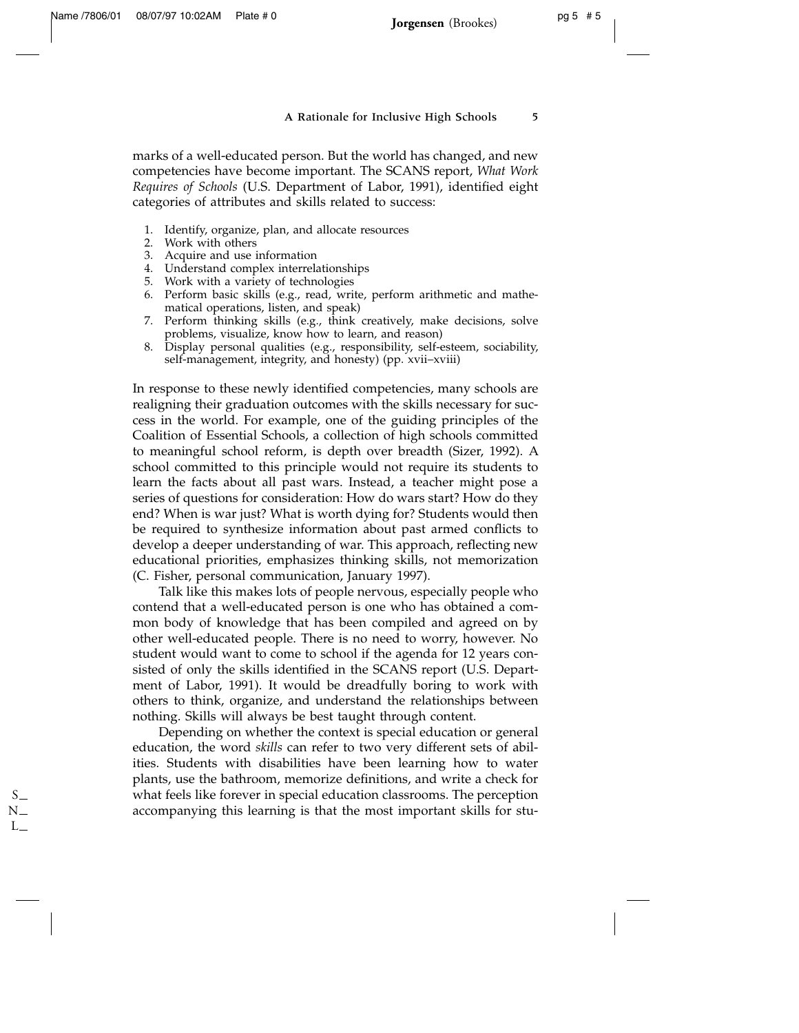marks of a well-educated person. But the world has changed, and new competencies have become important. The SCANS report, *What Work Requires of Schools* (U.S. Department of Labor, 1991), identified eight categories of attributes and skills related to success:

- 1. Identify, organize, plan, and allocate resources
- 2. Work with others

S N  $L_{-}$ 

- 3. Acquire and use information
- 4. Understand complex interrelationships
- 5. Work with a variety of technologies
- 6. Perform basic skills (e.g., read, write, perform arithmetic and mathematical operations, listen, and speak)
- 7. Perform thinking skills (e.g., think creatively, make decisions, solve problems, visualize, know how to learn, and reason)
- 8. Display personal qualities (e.g., responsibility, self-esteem, sociability, self-management, integrity, and honesty) (pp. xvii–xviii)

In response to these newly identified competencies, many schools are realigning their graduation outcomes with the skills necessary for success in the world. For example, one of the guiding principles of the Coalition of Essential Schools, a collection of high schools committed to meaningful school reform, is depth over breadth (Sizer, 1992). A school committed to this principle would not require its students to learn the facts about all past wars. Instead, a teacher might pose a series of questions for consideration: How do wars start? How do they end? When is war just? What is worth dying for? Students would then be required to synthesize information about past armed conflicts to develop a deeper understanding of war. This approach, reflecting new educational priorities, emphasizes thinking skills, not memorization (C. Fisher, personal communication, January 1997).

Talk like this makes lots of people nervous, especially people who contend that a well-educated person is one who has obtained a common body of knowledge that has been compiled and agreed on by other well-educated people. There is no need to worry, however. No student would want to come to school if the agenda for 12 years consisted of only the skills identified in the SCANS report (U.S. Department of Labor, 1991). It would be dreadfully boring to work with others to think, organize, and understand the relationships between nothing. Skills will always be best taught through content.

Depending on whether the context is special education or general education, the word *skills* can refer to two very different sets of abilities. Students with disabilities have been learning how to water plants, use the bathroom, memorize definitions, and write a check for what feels like forever in special education classrooms. The perception accompanying this learning is that the most important skills for stu-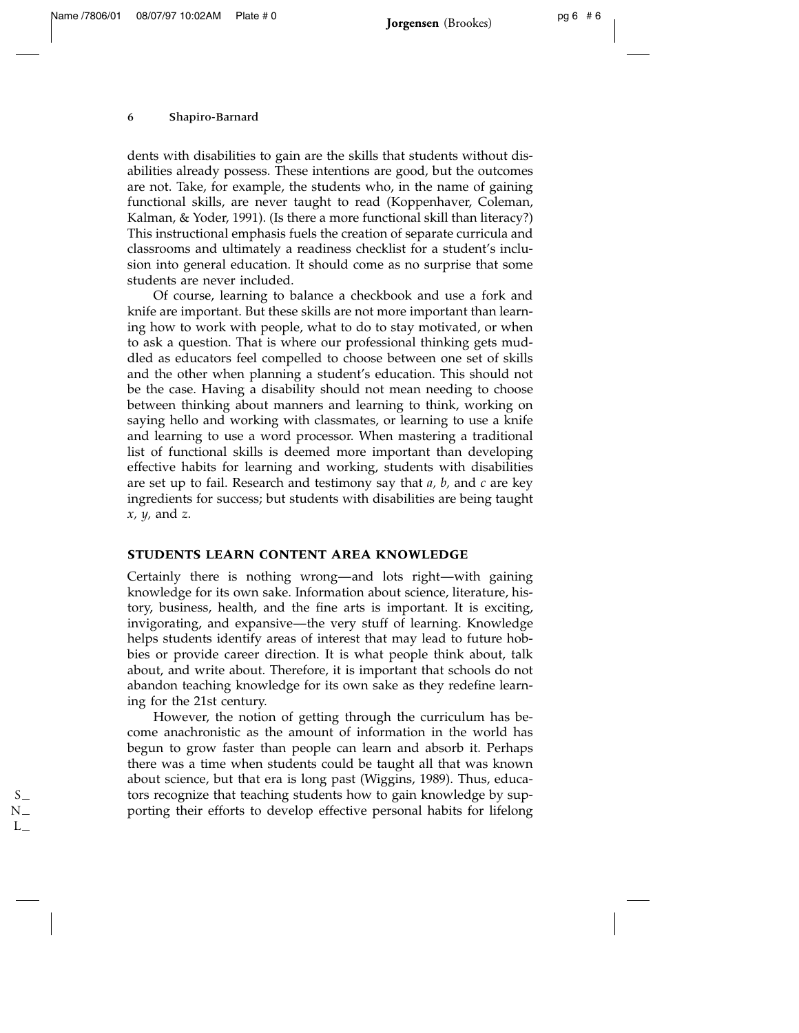S  $N_{-}$  $L_{-}$ 

# 6 Shapiro-Barnard

dents with disabilities to gain are the skills that students without disabilities already possess. These intentions are good, but the outcomes are not. Take, for example, the students who, in the name of gaining functional skills, are never taught to read (Koppenhaver, Coleman, Kalman, & Yoder, 1991). (Is there a more functional skill than literacy?) This instructional emphasis fuels the creation of separate curricula and classrooms and ultimately a readiness checklist for a student's inclusion into general education. It should come as no surprise that some students are never included.

Of course, learning to balance a checkbook and use a fork and knife are important. But these skills are not more important than learning how to work with people, what to do to stay motivated, or when to ask a question. That is where our professional thinking gets muddled as educators feel compelled to choose between one set of skills and the other when planning a student's education. This should not be the case. Having a disability should not mean needing to choose between thinking about manners and learning to think, working on saying hello and working with classmates, or learning to use a knife and learning to use a word processor. When mastering a traditional list of functional skills is deemed more important than developing effective habits for learning and working, students with disabilities are set up to fail. Research and testimony say that *a, b,* and *c* are key ingredients for success; but students with disabilities are being taught *x, y,* and *z*.

# **STUDENTS LEARN CONTENT AREA KNOWLEDGE**

Certainly there is nothing wrong—and lots right—with gaining knowledge for its own sake. Information about science, literature, history, business, health, and the fine arts is important. It is exciting, invigorating, and expansive—the very stuff of learning. Knowledge helps students identify areas of interest that may lead to future hobbies or provide career direction. It is what people think about, talk about, and write about. Therefore, it is important that schools do not abandon teaching knowledge for its own sake as they redefine learning for the 21st century.

However, the notion of getting through the curriculum has become anachronistic as the amount of information in the world has begun to grow faster than people can learn and absorb it. Perhaps there was a time when students could be taught all that was known about science, but that era is long past (Wiggins, 1989). Thus, educators recognize that teaching students how to gain knowledge by supporting their efforts to develop effective personal habits for lifelong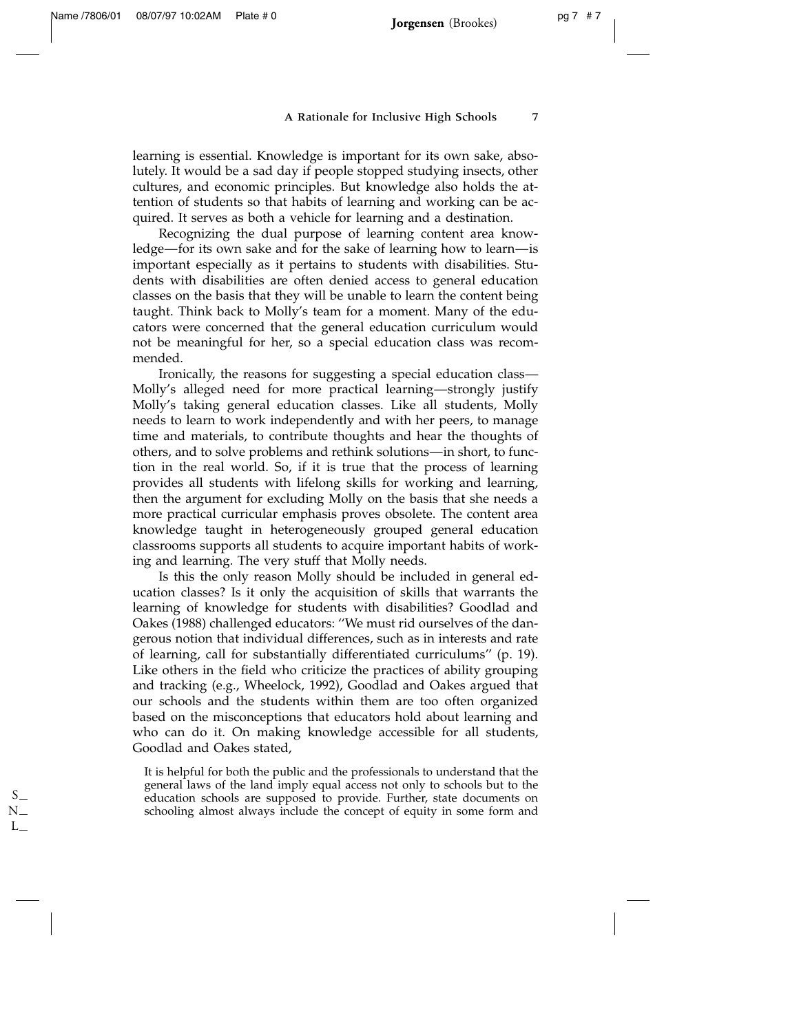**Jorgensen** (Brookes)

learning is essential. Knowledge is important for its own sake, absolutely. It would be a sad day if people stopped studying insects, other cultures, and economic principles. But knowledge also holds the attention of students so that habits of learning and working can be acquired. It serves as both a vehicle for learning and a destination.

Recognizing the dual purpose of learning content area knowledge—for its own sake and for the sake of learning how to learn—is important especially as it pertains to students with disabilities. Students with disabilities are often denied access to general education classes on the basis that they will be unable to learn the content being taught. Think back to Molly's team for a moment. Many of the educators were concerned that the general education curriculum would not be meaningful for her, so a special education class was recommended.

Ironically, the reasons for suggesting a special education class— Molly's alleged need for more practical learning—strongly justify Molly's taking general education classes. Like all students, Molly needs to learn to work independently and with her peers, to manage time and materials, to contribute thoughts and hear the thoughts of others, and to solve problems and rethink solutions—in short, to function in the real world. So, if it is true that the process of learning provides all students with lifelong skills for working and learning, then the argument for excluding Molly on the basis that she needs a more practical curricular emphasis proves obsolete. The content area knowledge taught in heterogeneously grouped general education classrooms supports all students to acquire important habits of working and learning. The very stuff that Molly needs.

Is this the only reason Molly should be included in general education classes? Is it only the acquisition of skills that warrants the learning of knowledge for students with disabilities? Goodlad and Oakes (1988) challenged educators: ''We must rid ourselves of the dangerous notion that individual differences, such as in interests and rate of learning, call for substantially differentiated curriculums'' (p. 19). Like others in the field who criticize the practices of ability grouping and tracking (e.g., Wheelock, 1992), Goodlad and Oakes argued that our schools and the students within them are too often organized based on the misconceptions that educators hold about learning and who can do it. On making knowledge accessible for all students, Goodlad and Oakes stated,

It is helpful for both the public and the professionals to understand that the general laws of the land imply equal access not only to schools but to the education schools are supposed to provide. Further, state documents on schooling almost always include the concept of equity in some form and

S N

 $L_{-}$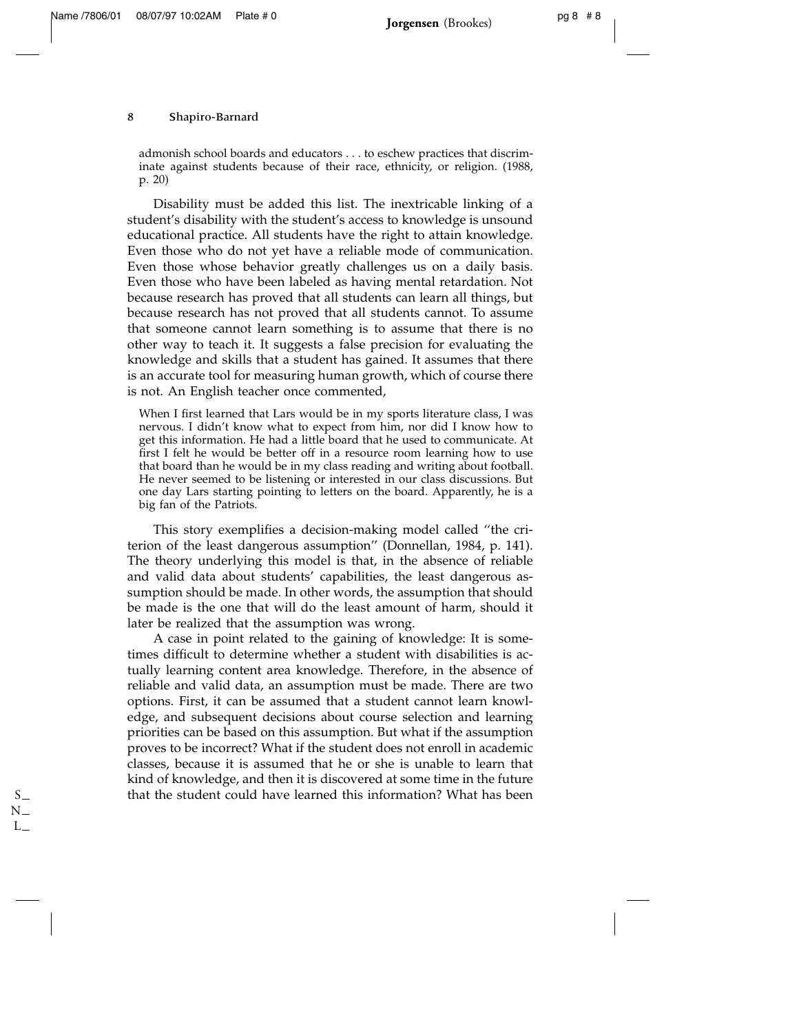S  $N_{-}$  $L_{-}$ 

#### 8 Shapiro-Barnard

admonish school boards and educators . . . to eschew practices that discriminate against students because of their race, ethnicity, or religion. (1988, p. 20)

Disability must be added this list. The inextricable linking of a student's disability with the student's access to knowledge is unsound educational practice. All students have the right to attain knowledge. Even those who do not yet have a reliable mode of communication. Even those whose behavior greatly challenges us on a daily basis. Even those who have been labeled as having mental retardation. Not because research has proved that all students can learn all things, but because research has not proved that all students cannot. To assume that someone cannot learn something is to assume that there is no other way to teach it. It suggests a false precision for evaluating the knowledge and skills that a student has gained. It assumes that there is an accurate tool for measuring human growth, which of course there is not. An English teacher once commented,

When I first learned that Lars would be in my sports literature class, I was nervous. I didn't know what to expect from him, nor did I know how to get this information. He had a little board that he used to communicate. At first I felt he would be better off in a resource room learning how to use that board than he would be in my class reading and writing about football. He never seemed to be listening or interested in our class discussions. But one day Lars starting pointing to letters on the board. Apparently, he is a big fan of the Patriots.

This story exemplifies a decision-making model called ''the criterion of the least dangerous assumption'' (Donnellan, 1984, p. 141). The theory underlying this model is that, in the absence of reliable and valid data about students' capabilities, the least dangerous assumption should be made. In other words, the assumption that should be made is the one that will do the least amount of harm, should it later be realized that the assumption was wrong.

A case in point related to the gaining of knowledge: It is sometimes difficult to determine whether a student with disabilities is actually learning content area knowledge. Therefore, in the absence of reliable and valid data, an assumption must be made. There are two options. First, it can be assumed that a student cannot learn knowledge, and subsequent decisions about course selection and learning priorities can be based on this assumption. But what if the assumption proves to be incorrect? What if the student does not enroll in academic classes, because it is assumed that he or she is unable to learn that kind of knowledge, and then it is discovered at some time in the future that the student could have learned this information? What has been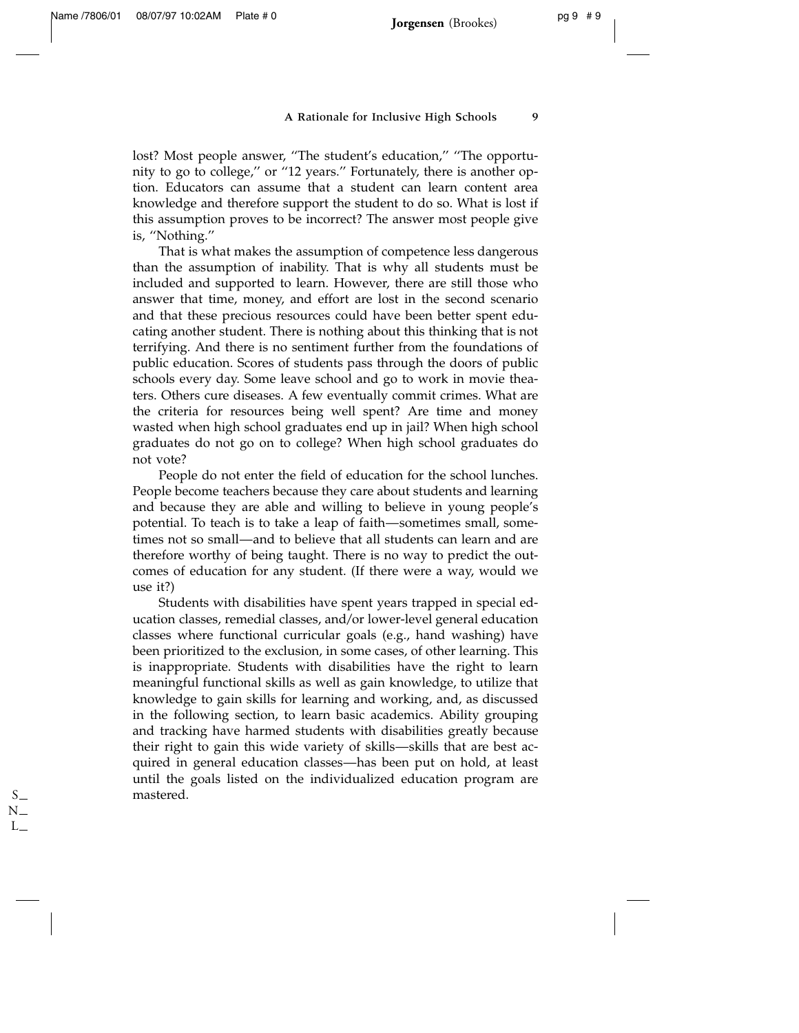**Jorgensen** (Brookes)

lost? Most people answer, "The student's education," "The opportunity to go to college,'' or ''12 years.'' Fortunately, there is another option. Educators can assume that a student can learn content area knowledge and therefore support the student to do so. What is lost if this assumption proves to be incorrect? The answer most people give is, ''Nothing.''

That is what makes the assumption of competence less dangerous than the assumption of inability. That is why all students must be included and supported to learn. However, there are still those who answer that time, money, and effort are lost in the second scenario and that these precious resources could have been better spent educating another student. There is nothing about this thinking that is not terrifying. And there is no sentiment further from the foundations of public education. Scores of students pass through the doors of public schools every day. Some leave school and go to work in movie theaters. Others cure diseases. A few eventually commit crimes. What are the criteria for resources being well spent? Are time and money wasted when high school graduates end up in jail? When high school graduates do not go on to college? When high school graduates do not vote?

People do not enter the field of education for the school lunches. People become teachers because they care about students and learning and because they are able and willing to believe in young people's potential. To teach is to take a leap of faith—sometimes small, sometimes not so small—and to believe that all students can learn and are therefore worthy of being taught. There is no way to predict the outcomes of education for any student. (If there were a way, would we use it?)

Students with disabilities have spent years trapped in special education classes, remedial classes, and/or lower-level general education classes where functional curricular goals (e.g., hand washing) have been prioritized to the exclusion, in some cases, of other learning. This is inappropriate. Students with disabilities have the right to learn meaningful functional skills as well as gain knowledge, to utilize that knowledge to gain skills for learning and working, and, as discussed in the following section, to learn basic academics. Ability grouping and tracking have harmed students with disabilities greatly because their right to gain this wide variety of skills—skills that are best acquired in general education classes—has been put on hold, at least until the goals listed on the individualized education program are mastered.

S N  $L_{-}$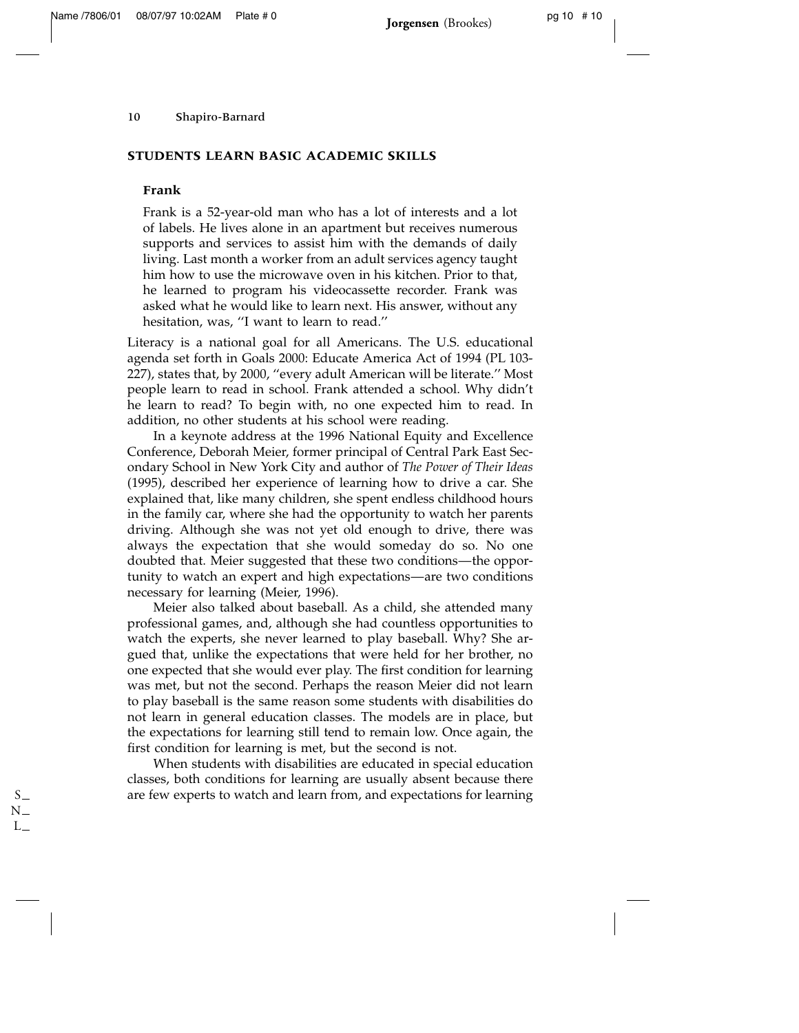10 Shapiro-Barnard

#### **STUDENTS LEARN BASIC ACADEMIC SKILLS**

#### **Frank**

Frank is a 52-year-old man who has a lot of interests and a lot of labels. He lives alone in an apartment but receives numerous supports and services to assist him with the demands of daily living. Last month a worker from an adult services agency taught him how to use the microwave oven in his kitchen. Prior to that, he learned to program his videocassette recorder. Frank was asked what he would like to learn next. His answer, without any hesitation, was, ''I want to learn to read.''

Literacy is a national goal for all Americans. The U.S. educational agenda set forth in Goals 2000: Educate America Act of 1994 (PL 103- 227), states that, by 2000, ''every adult American will be literate.'' Most people learn to read in school. Frank attended a school. Why didn't he learn to read? To begin with, no one expected him to read. In addition, no other students at his school were reading.

In a keynote address at the 1996 National Equity and Excellence Conference, Deborah Meier, former principal of Central Park East Secondary School in New York City and author of *The Power of Their Ideas* (1995), described her experience of learning how to drive a car. She explained that, like many children, she spent endless childhood hours in the family car, where she had the opportunity to watch her parents driving. Although she was not yet old enough to drive, there was always the expectation that she would someday do so. No one doubted that. Meier suggested that these two conditions—the opportunity to watch an expert and high expectations—are two conditions necessary for learning (Meier, 1996).

Meier also talked about baseball. As a child, she attended many professional games, and, although she had countless opportunities to watch the experts, she never learned to play baseball. Why? She argued that, unlike the expectations that were held for her brother, no one expected that she would ever play. The first condition for learning was met, but not the second. Perhaps the reason Meier did not learn to play baseball is the same reason some students with disabilities do not learn in general education classes. The models are in place, but the expectations for learning still tend to remain low. Once again, the first condition for learning is met, but the second is not.

When students with disabilities are educated in special education classes, both conditions for learning are usually absent because there are few experts to watch and learn from, and expectations for learning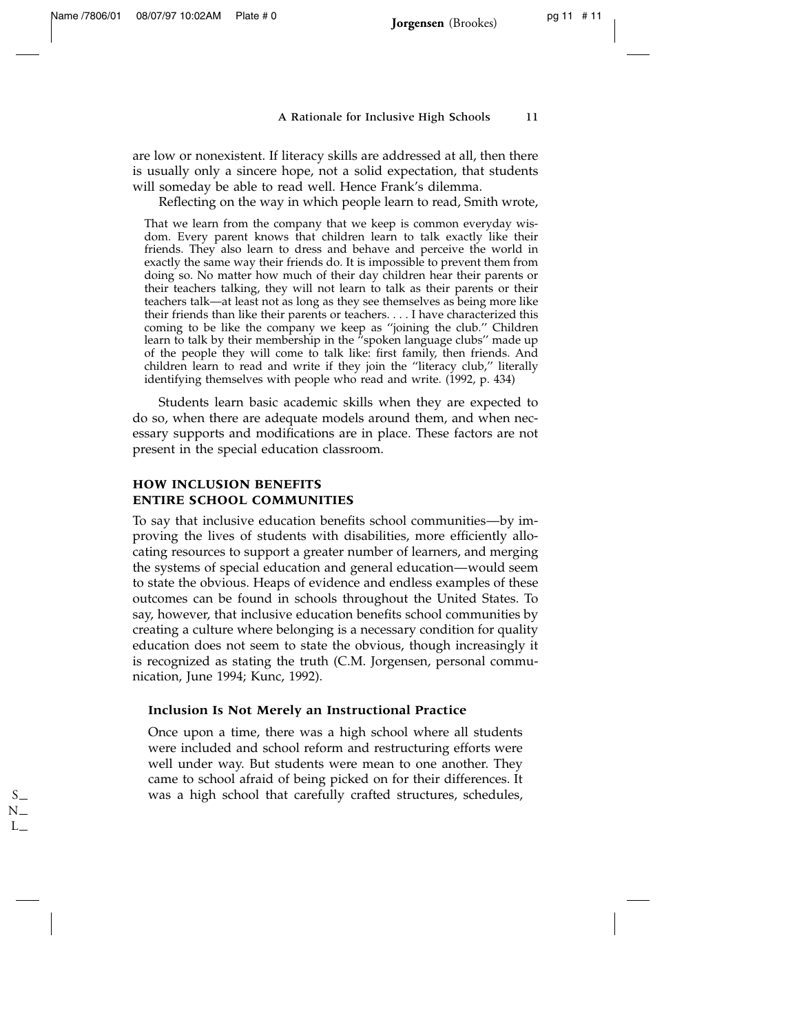are low or nonexistent. If literacy skills are addressed at all, then there is usually only a sincere hope, not a solid expectation, that students will someday be able to read well. Hence Frank's dilemma.

Reflecting on the way in which people learn to read, Smith wrote,

That we learn from the company that we keep is common everyday wisdom. Every parent knows that children learn to talk exactly like their friends. They also learn to dress and behave and perceive the world in exactly the same way their friends do. It is impossible to prevent them from doing so. No matter how much of their day children hear their parents or their teachers talking, they will not learn to talk as their parents or their teachers talk—at least not as long as they see themselves as being more like their friends than like their parents or teachers. . . . I have characterized this coming to be like the company we keep as ''joining the club.'' Children learn to talk by their membership in the "spoken language clubs" made up of the people they will come to talk like: first family, then friends. And children learn to read and write if they join the ''literacy club,'' literally identifying themselves with people who read and write. (1992, p. 434)

Students learn basic academic skills when they are expected to do so, when there are adequate models around them, and when necessary supports and modifications are in place. These factors are not present in the special education classroom.

# **HOW INCLUSION BENEFITS ENTIRE SCHOOL COMMUNITIES**

To say that inclusive education benefits school communities—by improving the lives of students with disabilities, more efficiently allocating resources to support a greater number of learners, and merging the systems of special education and general education—would seem to state the obvious. Heaps of evidence and endless examples of these outcomes can be found in schools throughout the United States. To say, however, that inclusive education benefits school communities by creating a culture where belonging is a necessary condition for quality education does not seem to state the obvious, though increasingly it is recognized as stating the truth (C.M. Jorgensen, personal communication, June 1994; Kunc, 1992).

# **Inclusion Is Not Merely an Instructional Practice**

Once upon a time, there was a high school where all students were included and school reform and restructuring efforts were well under way. But students were mean to one another. They came to school afraid of being picked on for their differences. It was a high school that carefully crafted structures, schedules,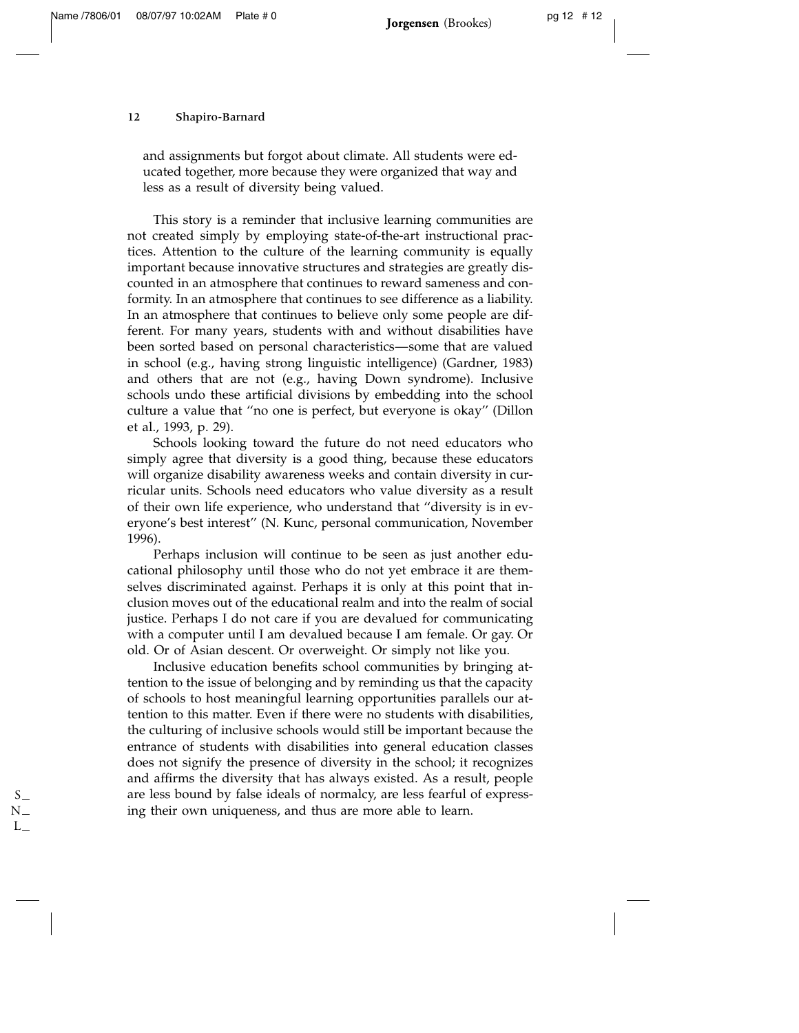S  $N_{-}$  $L_{-}$ 

#### 12 Shapiro-Barnard

and assignments but forgot about climate. All students were educated together, more because they were organized that way and less as a result of diversity being valued.

This story is a reminder that inclusive learning communities are not created simply by employing state-of-the-art instructional practices. Attention to the culture of the learning community is equally important because innovative structures and strategies are greatly discounted in an atmosphere that continues to reward sameness and conformity. In an atmosphere that continues to see difference as a liability. In an atmosphere that continues to believe only some people are different. For many years, students with and without disabilities have been sorted based on personal characteristics—some that are valued in school (e.g., having strong linguistic intelligence) (Gardner, 1983) and others that are not (e.g., having Down syndrome). Inclusive schools undo these artificial divisions by embedding into the school culture a value that ''no one is perfect, but everyone is okay'' (Dillon et al., 1993, p. 29).

Schools looking toward the future do not need educators who simply agree that diversity is a good thing, because these educators will organize disability awareness weeks and contain diversity in curricular units. Schools need educators who value diversity as a result of their own life experience, who understand that ''diversity is in everyone's best interest'' (N. Kunc, personal communication, November 1996).

Perhaps inclusion will continue to be seen as just another educational philosophy until those who do not yet embrace it are themselves discriminated against. Perhaps it is only at this point that inclusion moves out of the educational realm and into the realm of social justice. Perhaps I do not care if you are devalued for communicating with a computer until I am devalued because I am female. Or gay. Or old. Or of Asian descent. Or overweight. Or simply not like you.

Inclusive education benefits school communities by bringing attention to the issue of belonging and by reminding us that the capacity of schools to host meaningful learning opportunities parallels our attention to this matter. Even if there were no students with disabilities, the culturing of inclusive schools would still be important because the entrance of students with disabilities into general education classes does not signify the presence of diversity in the school; it recognizes and affirms the diversity that has always existed. As a result, people are less bound by false ideals of normalcy, are less fearful of expressing their own uniqueness, and thus are more able to learn.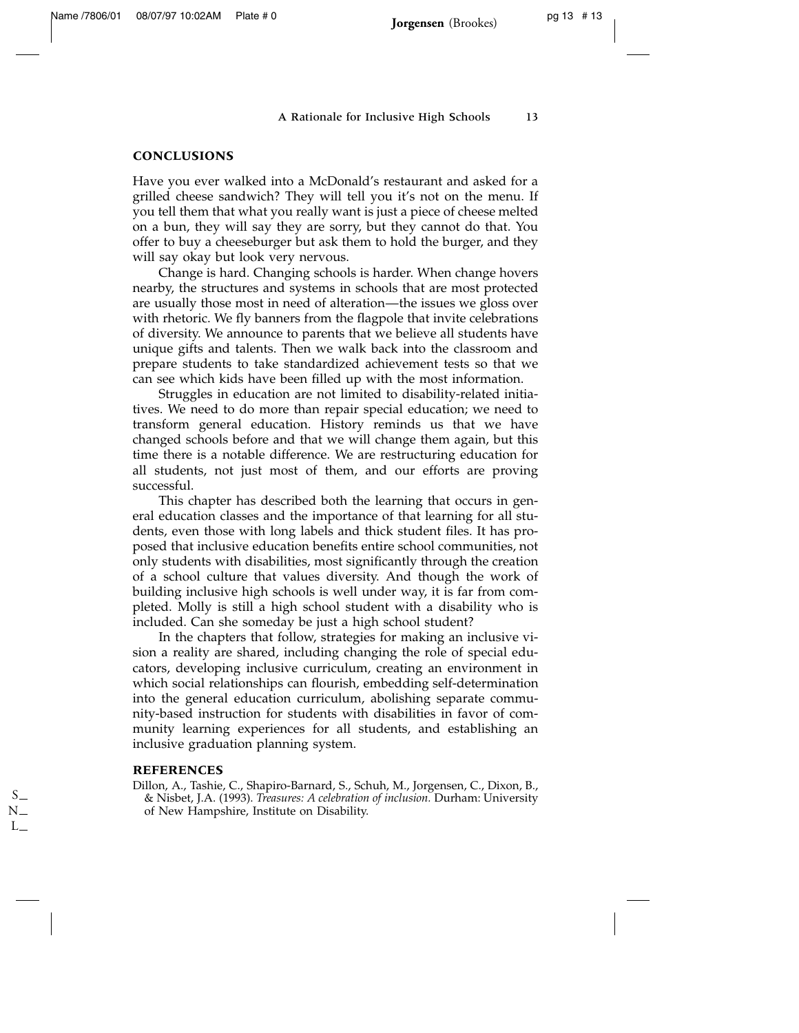Have you ever walked into a McDonald's restaurant and asked for a grilled cheese sandwich? They will tell you it's not on the menu. If you tell them that what you really want is just a piece of cheese melted on a bun, they will say they are sorry, but they cannot do that. You offer to buy a cheeseburger but ask them to hold the burger, and they will say okay but look very nervous.

Change is hard. Changing schools is harder. When change hovers nearby, the structures and systems in schools that are most protected are usually those most in need of alteration—the issues we gloss over with rhetoric. We fly banners from the flagpole that invite celebrations of diversity. We announce to parents that we believe all students have unique gifts and talents. Then we walk back into the classroom and prepare students to take standardized achievement tests so that we can see which kids have been filled up with the most information.

Struggles in education are not limited to disability-related initiatives. We need to do more than repair special education; we need to transform general education. History reminds us that we have changed schools before and that we will change them again, but this time there is a notable difference. We are restructuring education for all students, not just most of them, and our efforts are proving successful.

This chapter has described both the learning that occurs in general education classes and the importance of that learning for all students, even those with long labels and thick student files. It has proposed that inclusive education benefits entire school communities, not only students with disabilities, most significantly through the creation of a school culture that values diversity. And though the work of building inclusive high schools is well under way, it is far from completed. Molly is still a high school student with a disability who is included. Can she someday be just a high school student?

In the chapters that follow, strategies for making an inclusive vision a reality are shared, including changing the role of special educators, developing inclusive curriculum, creating an environment in which social relationships can flourish, embedding self-determination into the general education curriculum, abolishing separate community-based instruction for students with disabilities in favor of community learning experiences for all students, and establishing an inclusive graduation planning system.

#### **REFERENCES**

S N  $L_{-}$  Dillon, A., Tashie, C., Shapiro-Barnard, S., Schuh, M., Jorgensen, C., Dixon, B., & Nisbet, J.A. (1993). *Treasures: A celebration of inclusion.* Durham: University of New Hampshire, Institute on Disability.